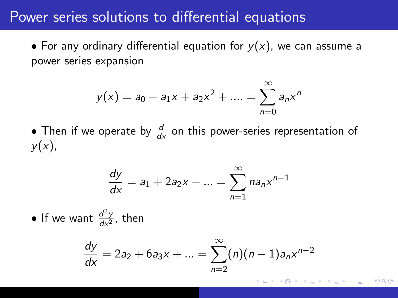#### Power series solutions to differential equations

• For any ordinary differential equation for  $y(x)$ , we can assume a power series expansion

$$
y(x) = a_0 + a_1x + a_2x^2 + \dots = \sum_{n=0}^{\infty} a_nx^n
$$

• Then if we operate by  $\frac{d}{dx}$  on this power-series representation of  $y(x)$ ,

$$
\frac{dy}{dx} = a_1 + 2a_2x + \dots = \sum_{n=1}^{\infty} na_nx^{n-1}
$$

• If we want  $\frac{d^2y}{dx^2}$  $\frac{d^2y}{dx^2}$ , then

$$
\frac{dy}{dx} = 2a_2 + 6a_3x + \dots = \sum_{n=2}^{\infty} (n)(n-1)a_nx^{n-2}
$$

 $2Q$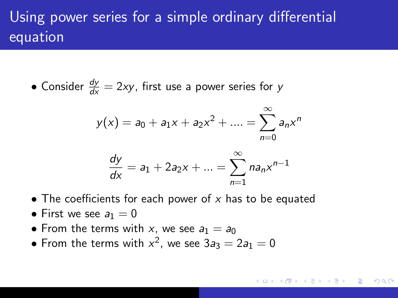## Using power series for a simple ordinary differential equation

• Consider  $\frac{dy}{dx} = 2xy$ , first use a power series for y

$$
y(x) = a_0 + a_1x + a_2x^2 + \dots = \sum_{n=0}^{\infty} a_nx^n
$$

$$
\frac{dy}{dx} = a_1 + 2a_2x + \dots = \sum_{n=1}^{\infty} na_nx^{n-1}
$$

- The coefficients for each power of  $x$  has to be equated
- First we see  $a_1 = 0$
- From the terms with x, we see  $a_1 = a_0$
- From the terms with  $x^2$ , we see  $3a_3 = 2a_1 = 0$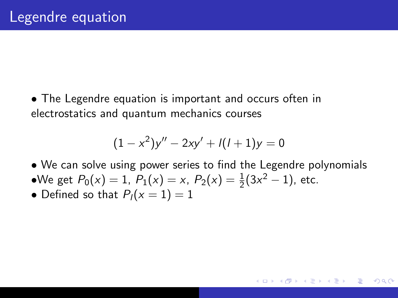• The Legendre equation is important and occurs often in electrostatics and quantum mechanics courses

$$
(1 - x2)y'' - 2xy' + l(l+1)y = 0
$$

• We can solve using power series to find the Legendre polynomials

へのへ

- •We get  $P_0(x) = 1$ ,  $P_1(x) = x$ ,  $P_2(x) = \frac{1}{2}(3x^2 1)$ , etc.
- Defined so that  $P_l(x = 1) = 1$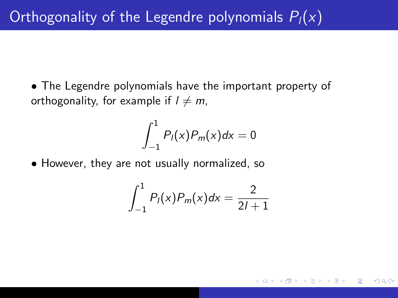• The Legendre polynomials have the important property of orthogonality, for example if  $l \neq m$ ,

$$
\int_{-1}^1 P_l(x)P_m(x)dx = 0
$$

• However, they are not usually normalized, so

$$
\int_{-1}^{1} P_{l}(x) P_{m}(x) dx = \frac{2}{2l+1}
$$

 $2QC$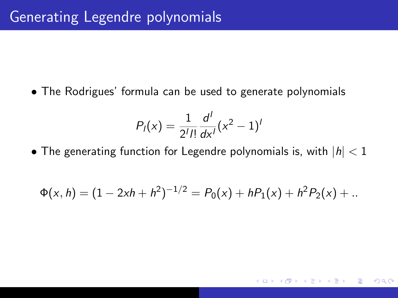• The Rodrigues' formula can be used to generate polynomials

$$
P_I(x) = \frac{1}{2^I I!} \frac{d^I}{dx^I} (x^2 - 1)^I
$$

• The generating function for Legendre polynomials is, with  $|h| < 1$ 

$$
\Phi(x, h) = (1 - 2xh + h^2)^{-1/2} = P_0(x) + hP_1(x) + h^2P_2(x) + ...
$$

つへへ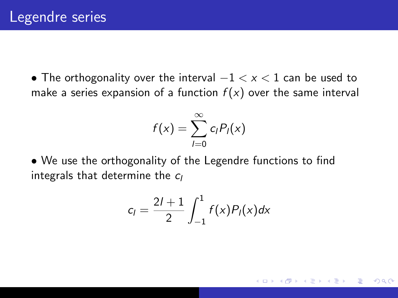• The orthogonality over the interval  $-1 < x < 1$  can be used to make a series expansion of a function  $f(x)$  over the same interval

$$
f(x)=\sum_{l=0}^{\infty}c_lP_l(x)
$$

• We use the orthogonality of the Legendre functions to find integrals that determine the  $c_l$ 

$$
c_l = \frac{2l+1}{2} \int_{-1}^1 f(x) P_l(x) dx
$$

へのへ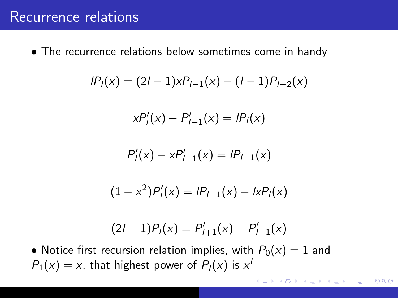### Recurrence relations

• The recurrence relations below sometimes come in handy

$$
IP1(x) = (2I - 1)xPI-1(x) - (I - 1)PI-2(x)
$$

$$
xP'_l(x)-P'_{l-1}(x)=lP_l(x)
$$

$$
P'_{l}(x) - xP'_{l-1}(x) = lP_{l-1}(x)
$$

$$
(1 - x2)P'1(x) = IP1-1(x) - IxP1(x)
$$

$$
(2l+1)Pl(x) = P'l+1(x) - P'l-1(x)
$$

• Notice first recursion relation implies, with  $P_0(x) = 1$  and  $P_1(x) = x$ , that highest power of  $P_1(x)$  is  $x^1$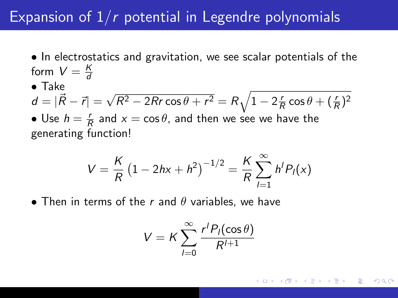### Expansion of  $1/r$  potential in Legendre polynomials

- In electrostatics and gravitation, we see scalar potentials of the form  $V = \frac{K}{d}$ d
- Take

$$
d = |\vec{R} - \vec{r}| = \sqrt{R^2 - 2Rr\cos\theta + r^2} = R\sqrt{1 - 2\frac{r}{R}\cos\theta + (\frac{r}{R})^2}
$$

• Use  $h=\frac{r}{6}$  $\frac{r}{R}$  and  $x = \cos \theta$ , and then we see we have the generating function!

$$
V = \frac{K}{R} (1 - 2hx + h^2)^{-1/2} = \frac{K}{R} \sum_{l=1}^{\infty} h^l P_l(x)
$$

• Then in terms of the r and  $\theta$  variables, we have

$$
V = K \sum_{l=0}^{\infty} \frac{r^l P_l(\cos \theta)}{R^{l+1}}
$$

∽≏ດ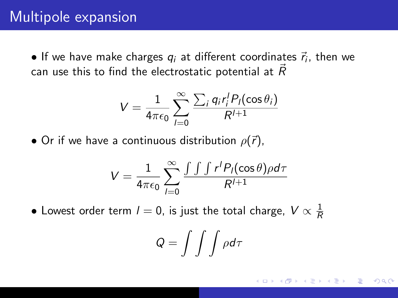$\bullet$  If we have make charges  $q_i$  at different coordinates  $\vec{r}_i$ , then we can use this to find the electrostatic potential at  $\vec{R}$ 

$$
V = \frac{1}{4\pi\epsilon_0} \sum_{l=0}^{\infty} \frac{\sum_i q_i r_i^l P_l(\cos\theta_i)}{R^{l+1}}
$$

• Or if we have a continuous distribution  $\rho(\vec{r})$ ,

$$
V = \frac{1}{4\pi\epsilon_0} \sum_{l=0}^{\infty} \frac{\int \int \int r^l P_l(\cos\theta) \rho d\tau}{R^{l+1}}
$$

 $\bullet$  Lowest order term  $l=0$ , is just the total charge,  $V\propto\frac{1}{R}$ R

$$
Q = \int \int \int \rho d\tau
$$

∽≏ດ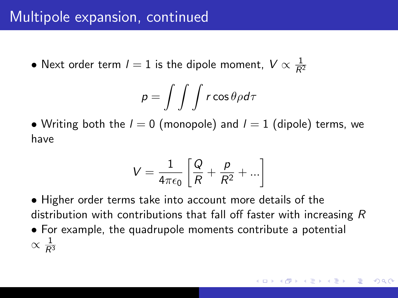### Multipole expansion, continued

 $\bullet$  Next order term  $l=1$  is the dipole moment,  $V \propto \frac{1}{R^2}$ 

$$
\rho = \int \int \int r \cos \theta \rho d\tau
$$

• Writing both the  $l = 0$  (monopole) and  $l = 1$  (dipole) terms, we have

$$
V = \frac{1}{4\pi\epsilon_0} \left[ \frac{Q}{R} + \frac{p}{R^2} + \ldots \right]
$$

• Higher order terms take into account more details of the distribution with contributions that fall off faster with increasing R

• For example, the quadrupole moments contribute a potential  $\propto \frac{1}{R^3}$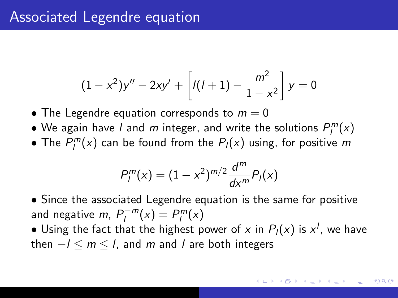### Associated Legendre equation

$$
(1-x2)y'' - 2xy' + \left[l(l+1) - \frac{m2}{1-x2}\right]y = 0
$$

- The Legendre equation corresponds to  $m = 0$
- $\bullet$  We again have *l* and *m* integer, and write the solutions  $P_l^m(x)$
- The  $P_l^m(x)$  can be found from the  $P_l(x)$  using, for positive m

$$
P_l^m(x) = (1 - x^2)^{m/2} \frac{d^m}{dx^m} P_l(x)
$$

• Since the associated Legendre equation is the same for positive and negative *m*,  $P_l^{-m}$  $l_l^{-m}(x) = P_l^m(x)$ 

 $\bullet$  Using the fact that the highest power of  $x$  in  $P_l(x)$  is  $x^l$ , we have then  $-l < m < l$ , and m and l are both integers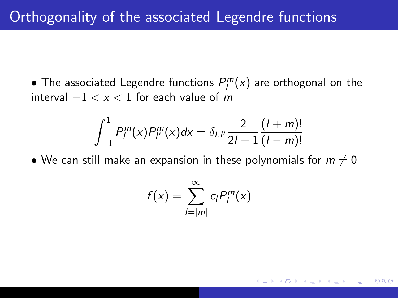• The associated Legendre functions  $P_l^m(x)$  are orthogonal on the interval  $-1 < x < 1$  for each value of m

$$
\int_{-1}^{1} P_{l}^{m}(x) P_{l'}^{m}(x) dx = \delta_{l,l'} \frac{2}{2l+1} \frac{(l+m)!}{(l-m)!}
$$

• We can still make an expansion in these polynomials for  $m \neq 0$ 

$$
f(x) = \sum_{l=|m|}^{\infty} c_l P_l^m(x)
$$

∽≏ດ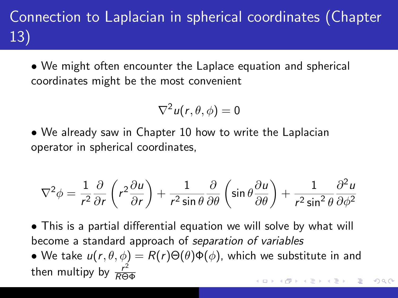# Connection to Laplacian in spherical coordinates (Chapter 13)

• We might often encounter the Laplace equation and spherical coordinates might be the most convenient

$$
\nabla^2 u(r,\theta,\phi)=0
$$

• We already saw in Chapter 10 how to write the Laplacian operator in spherical coordinates,

$$
\nabla^2 \phi = \frac{1}{r^2} \frac{\partial}{\partial r} \left( r^2 \frac{\partial u}{\partial r} \right) + \frac{1}{r^2 \sin \theta} \frac{\partial}{\partial \theta} \left( \sin \theta \frac{\partial u}{\partial \theta} \right) + \frac{1}{r^2 \sin^2 \theta} \frac{\partial^2 u}{\partial \phi^2}
$$

- This is a partial differential equation we will solve by what will become a standard approach of separation of variables
- We take  $u(r, \theta, \phi) = R(r) \Theta(\theta) \Phi(\phi)$ , which we substitute in and then multipy by  $\frac{r^2}{R\Theta}$ RΘΦ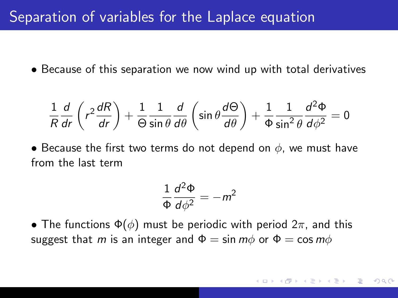### Separation of variables for the Laplace equation

• Because of this separation we now wind up with total derivatives

$$
\frac{1}{R}\frac{d}{dr}\left(r^2\frac{dR}{dr}\right) + \frac{1}{\Theta}\frac{1}{\sin\theta}\frac{d}{d\theta}\left(\sin\theta\frac{d\Theta}{d\theta}\right) + \frac{1}{\Phi}\frac{1}{\sin^2\theta}\frac{d^2\Phi}{d\phi^2} = 0
$$

• Because the first two terms do not depend on  $\phi$ , we must have from the last term

$$
\frac{1}{\Phi}\frac{d^2\Phi}{d\phi^2}=-m^2
$$

• The functions  $\Phi(\phi)$  must be periodic with period  $2\pi$ , and this suggest that m is an integer and  $\Phi = \sin m\phi$  or  $\Phi = \cos m\phi$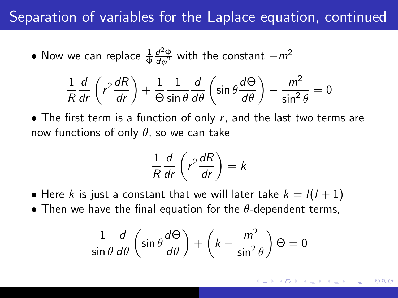### Separation of variables for the Laplace equation, continued

• Now we can replace 
$$
\frac{1}{\Phi} \frac{d^2 \Phi}{d\phi^2}
$$
 with the constant  $-m^2$ 

$$
\frac{1}{R}\frac{d}{dr}\left(r^2\frac{dR}{dr}\right) + \frac{1}{\Theta}\frac{1}{\sin\theta}\frac{d}{d\theta}\left(\sin\theta\frac{d\Theta}{d\theta}\right) - \frac{m^2}{\sin^2\theta} = 0
$$

• The first term is a function of only  $r$ , and the last two terms are now functions of only  $\theta$ , so we can take

$$
\frac{1}{R}\frac{d}{dr}\left(r^2\frac{dR}{dr}\right) = k
$$

• Here k is just a constant that we will later take  $k = l(l + 1)$ 

• Then we have the final equation for the  $\theta$ -dependent terms,

$$
\frac{1}{\sin\theta}\frac{d}{d\theta}\left(\sin\theta\frac{d\Theta}{d\theta}\right) + \left(k - \frac{m^2}{\sin^2\theta}\right)\Theta = 0
$$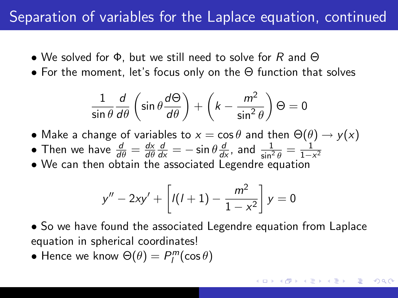### Separation of variables for the Laplace equation, continued

- We solved for  $\Phi$ , but we still need to solve for R and  $\Theta$
- For the moment, let's focus only on the Θ function that solves

$$
\frac{1}{\sin\theta}\frac{d}{d\theta}\left(\sin\theta\frac{d\Theta}{d\theta}\right) + \left(k - \frac{m^2}{\sin^2\theta}\right)\Theta = 0
$$

- Make a change of variables to  $x = \cos \theta$  and then  $\Theta(\theta) \rightarrow y(x)$
- Then we have  $\frac{d}{d\theta} = \frac{dx}{d\theta}$ dθ  $\frac{d}{dx} = -\sin\theta \frac{d}{dx}$ , and  $\frac{1}{\sin^2\theta} = \frac{1}{1-x}$  $\overline{1-x^2}$
- We can then obtain the associated Legendre equation

$$
y'' - 2xy' + \left[l(l+1) - \frac{m^2}{1 - x^2}\right]y = 0
$$

- So we have found the associated Legendre equation from Laplace equation in spherical coordinates!
- Hence we know  $\Theta(\theta) = P_l^m(\cos \theta)$